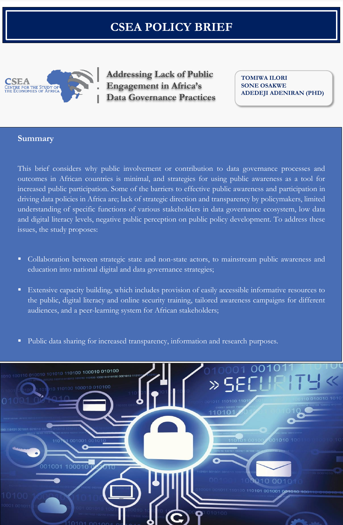# **CSEA POLICY BRIEF**



**Addressing Lack of Public Engagement in Africa's Data Governance Practices** 

**TOMIWA ILORI SONE OSAKWE ADEDEJI ADENIRAN (PHD)**

#### **Summary**

This brief considers why public involvement or contribution to data governance processes and outcomes in African countries is minimal, and strategies for using public awareness as a tool for increased public participation. Some of the barriers to effective public awareness and participation in driving data policies in Africa are; lack of strategic direction and transparency by policymakers, limited understanding of specific functions of various stakeholders in data governance ecosystem, low data and digital literacy levels, negative public perception on public policy development. To address these issues, the study proposes:

- Collaboration between strategic state and non-state actors, to mainstream public awareness and education into national digital and data governance strategies;
- Extensive capacity building, which includes provision of easily accessible informative resources to the public, digital literacy and online security training, tailored awareness campaigns for different audiences, and a peer-learning system for African stakeholders;
- Public data sharing for increased transparency, information and research purposes.

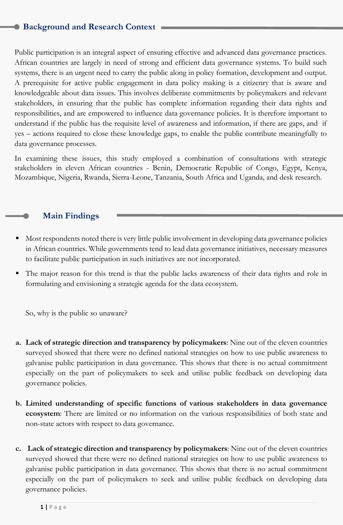### **Background and Research Context**

Public participation is an integral aspect of ensuring effective and advanced data governance practices. African countries are largely in need of strong and efficient data governance systems. To build such systems, there is an urgent need to carry the public along in policy formation, development and output. A prerequisite for active public engagement in data policy making is a citizenry that is aware and knowledgeable about data issues. This involves deliberate commitments by policymakers and relevant stakeholders, in ensuring that the public has complete information regarding their data rights and responsibilities, and are empowered to influence data governance policies. It is therefore important to understand if the public has the requisite level of awareness and information, if there are gaps, and if yes – actions required to close these knowledge gaps, to enable the public contribute meaningfully to data governance processes.

In examining these issues, this study employed a combination of consultations with strategic stakeholders in eleven African countries - Benin, Democratic Republic of Congo, Egypt, Kenya, Mozambique, Nigeria, Rwanda, Sierra-Leone, Tanzania, South Africa and Uganda, and desk research.

#### **Main Findings**

- Most respondents noted there is very little public involvement in developing data governance policies in African countries. While governments tend to lead data governance initiatives, necessary measures to facilitate public participation in such initiatives are not incorporated.
- The major reason for this trend is that the public lacks awareness of their data rights and role in formulating and envisioning a strategic agenda for the data ecosystem.

So, why is the public so unaware?

- **a. Lack of strategic direction and transparency by policymakers**: Nine out of the eleven countries surveyed showed that there were no defined national strategies on how to use public awareness to galvanise public participation in data governance. This shows that there is no actual commitment especially on the part of policymakers to seek and utilise public feedback on developing data governance policies.
- **b. Limited understanding of specific functions of various stakeholders in data governance ecosystem**: There are limited or no information on the various responsibilities of both state and non-state actors with respect to data governance.
- **c. Lack of strategic direction and transparency by policymakers**: Nine out of the eleven countries surveyed showed that there were no defined national strategies on how to use public awareness to galvanise public participation in data governance. This shows that there is no actual commitment especially on the part of policymakers to seek and utilise public feedback on developing data governance policies.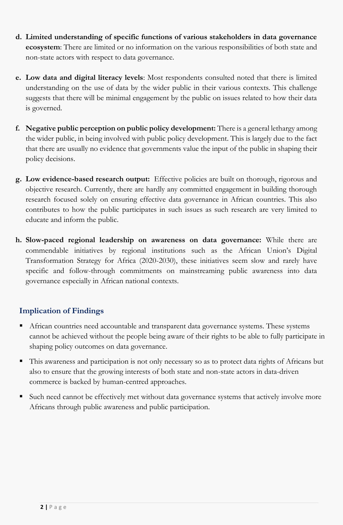- **d. Limited understanding of specific functions of various stakeholders in data governance ecosystem**: There are limited or no information on the various responsibilities of both state and non-state actors with respect to data governance.
- **e. Low data and digital literacy levels**: Most respondents consulted noted that there is limited understanding on the use of data by the wider public in their various contexts. This challenge suggests that there will be minimal engagement by the public on issues related to how their data is governed.
- **f. Negative public perception on public policy development:** There is a general lethargy among the wider public, in being involved with public policy development. This is largely due to the fact that there are usually no evidence that governments value the input of the public in shaping their policy decisions.
- **g. Low evidence-based research output:** Effective policies are built on thorough, rigorous and objective research. Currently, there are hardly any committed engagement in building thorough research focused solely on ensuring effective data governance in African countries. This also contributes to how the public participates in such issues as such research are very limited to educate and inform the public.
- **h. Slow-paced regional leadership on awareness on data governance:** While there are commendable initiatives by regional institutions such as the African Union's Digital Transformation Strategy for Africa (2020-2030), these initiatives seem slow and rarely have specific and follow-through commitments on mainstreaming public awareness into data governance especially in African national contexts.

## **Implication of Findings**

- African countries need accountable and transparent data governance systems. These systems cannot be achieved without the people being aware of their rights to be able to fully participate in shaping policy outcomes on data governance.
- This awareness and participation is not only necessary so as to protect data rights of Africans but also to ensure that the growing interests of both state and non-state actors in data-driven commerce is backed by human-centred approaches.
- Such need cannot be effectively met without data governance systems that actively involve more Africans through public awareness and public participation.